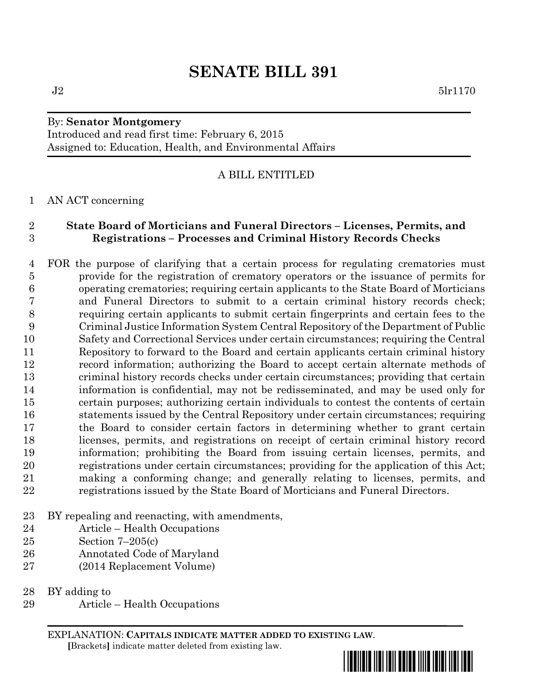# **SENATE BILL 391**

#### By: **Senator Montgomery** Introduced and read first time: February 6, 2015 Assigned to: Education, Health, and Environmental Affairs

## A BILL ENTITLED

### AN ACT concerning

## **State Board of Morticians and Funeral Directors – Licenses, Permits, and Registrations – Processes and Criminal History Records Checks**

 FOR the purpose of clarifying that a certain process for regulating crematories must provide for the registration of crematory operators or the issuance of permits for operating crematories; requiring certain applicants to the State Board of Morticians and Funeral Directors to submit to a certain criminal history records check; requiring certain applicants to submit certain fingerprints and certain fees to the Criminal Justice Information System Central Repository of the Department of Public Safety and Correctional Services under certain circumstances; requiring the Central Repository to forward to the Board and certain applicants certain criminal history record information; authorizing the Board to accept certain alternate methods of criminal history records checks under certain circumstances; providing that certain information is confidential, may not be redisseminated, and may be used only for certain purposes; authorizing certain individuals to contest the contents of certain statements issued by the Central Repository under certain circumstances; requiring the Board to consider certain factors in determining whether to grant certain licenses, permits, and registrations on receipt of certain criminal history record information; prohibiting the Board from issuing certain licenses, permits, and registrations under certain circumstances; providing for the application of this Act; making a conforming change; and generally relating to licenses, permits, and registrations issued by the State Board of Morticians and Funeral Directors.

- BY repealing and reenacting, with amendments,
- Article Health Occupations
- Section 7–205(c)
- Annotated Code of Maryland
- (2014 Replacement Volume)

BY adding to

Article – Health Occupations

EXPLANATION: **CAPITALS INDICATE MATTER ADDED TO EXISTING LAW**.  **[**Brackets**]** indicate matter deleted from existing law.

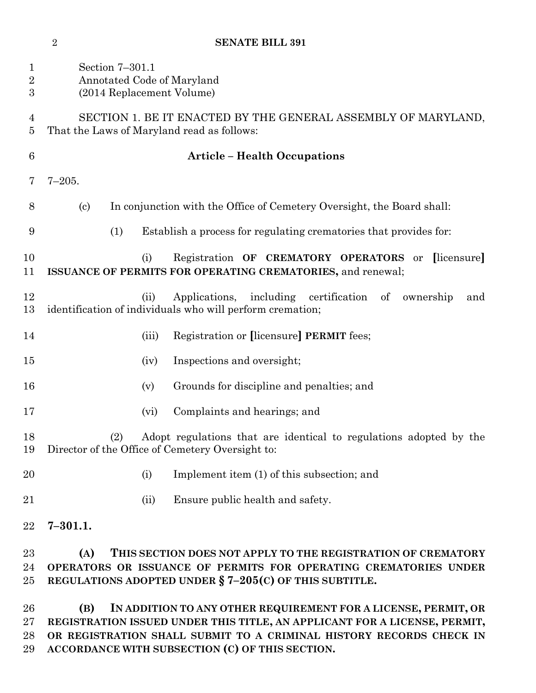| 1<br>$\overline{2}$<br>$\boldsymbol{3}$ | Section 7-301.1<br>Annotated Code of Maryland<br>(2014 Replacement Volume)                                                                                                                                                |
|-----------------------------------------|---------------------------------------------------------------------------------------------------------------------------------------------------------------------------------------------------------------------------|
| 4<br>5                                  | SECTION 1. BE IT ENACTED BY THE GENERAL ASSEMBLY OF MARYLAND,<br>That the Laws of Maryland read as follows:                                                                                                               |
| 6                                       | <b>Article - Health Occupations</b>                                                                                                                                                                                       |
| 7                                       | $7 - 205.$                                                                                                                                                                                                                |
| 8                                       | In conjunction with the Office of Cemetery Oversight, the Board shall:<br>$\left( \mathrm{c}\right)$                                                                                                                      |
| 9                                       | (1)<br>Establish a process for regulating crematories that provides for:                                                                                                                                                  |
| 10<br>11                                | [licensure]<br>Registration OF CREMATORY OPERATORS or<br>(i)<br>ISSUANCE OF PERMITS FOR OPERATING CREMATORIES, and renewal;                                                                                               |
| 12<br>13                                | Applications, including certification of ownership<br>(ii)<br>and<br>identification of individuals who will perform cremation;                                                                                            |
| 14                                      | Registration or [licensure] PERMIT fees;<br>(iii)                                                                                                                                                                         |
| 15                                      | Inspections and oversight;<br>(iv)                                                                                                                                                                                        |
| 16                                      | Grounds for discipline and penalties; and<br>(v)                                                                                                                                                                          |
| 17                                      | Complaints and hearings; and<br>(vi)                                                                                                                                                                                      |
| 18<br>19                                | Adopt regulations that are identical to regulations adopted by the<br>(2)<br>Director of the Office of Cemetery Oversight to:                                                                                             |
| 20                                      | (i)<br>Implement item (1) of this subsection; and                                                                                                                                                                         |
| 21                                      | Ensure public health and safety.<br>(ii)                                                                                                                                                                                  |
| 22                                      | $7 - 301.1.$                                                                                                                                                                                                              |
| 23<br>24<br>25                          | (A)<br>THIS SECTION DOES NOT APPLY TO THE REGISTRATION OF CREMATORY<br>OPERATORS OR ISSUANCE OF PERMITS FOR OPERATING CREMATORIES UNDER<br>REGULATIONS ADOPTED UNDER $\S$ 7-205(C) OF THIS SUBTITLE.                      |
| 26<br>$27\,$<br>28                      | (B)<br>IN ADDITION TO ANY OTHER REQUIREMENT FOR A LICENSE, PERMIT, OR<br>REGISTRATION ISSUED UNDER THIS TITLE, AN APPLICANT FOR A LICENSE, PERMIT,<br>OR REGISTRATION SHALL SUBMIT TO A CRIMINAL HISTORY RECORDS CHECK IN |

**ACCORDANCE WITH SUBSECTION (C) OF THIS SECTION.**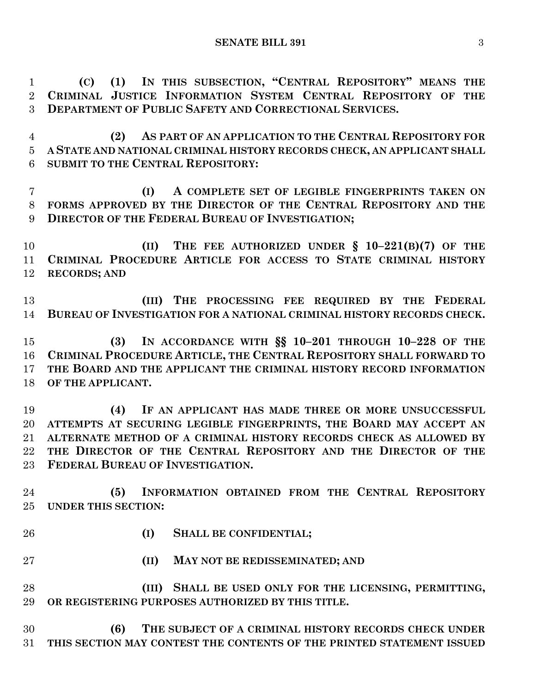**(C) (1) IN THIS SUBSECTION, "CENTRAL REPOSITORY" MEANS THE CRIMINAL JUSTICE INFORMATION SYSTEM CENTRAL REPOSITORY OF THE DEPARTMENT OF PUBLIC SAFETY AND CORRECTIONAL SERVICES.**

 **(2) AS PART OF AN APPLICATION TO THE CENTRAL REPOSITORY FOR A STATE AND NATIONAL CRIMINAL HISTORY RECORDS CHECK, AN APPLICANT SHALL SUBMIT TO THE CENTRAL REPOSITORY:**

 **(I) A COMPLETE SET OF LEGIBLE FINGERPRINTS TAKEN ON FORMS APPROVED BY THE DIRECTOR OF THE CENTRAL REPOSITORY AND THE DIRECTOR OF THE FEDERAL BUREAU OF INVESTIGATION;**

 **(II) THE FEE AUTHORIZED UNDER § 10–221(B)(7) OF THE CRIMINAL PROCEDURE ARTICLE FOR ACCESS TO STATE CRIMINAL HISTORY RECORDS; AND**

 **(III) THE PROCESSING FEE REQUIRED BY THE FEDERAL BUREAU OF INVESTIGATION FOR A NATIONAL CRIMINAL HISTORY RECORDS CHECK.**

 **(3) IN ACCORDANCE WITH §§ 10–201 THROUGH 10–228 OF THE CRIMINAL PROCEDURE ARTICLE, THE CENTRAL REPOSITORY SHALL FORWARD TO THE BOARD AND THE APPLICANT THE CRIMINAL HISTORY RECORD INFORMATION OF THE APPLICANT.**

 **(4) IF AN APPLICANT HAS MADE THREE OR MORE UNSUCCESSFUL ATTEMPTS AT SECURING LEGIBLE FINGERPRINTS, THE BOARD MAY ACCEPT AN ALTERNATE METHOD OF A CRIMINAL HISTORY RECORDS CHECK AS ALLOWED BY THE DIRECTOR OF THE CENTRAL REPOSITORY AND THE DIRECTOR OF THE FEDERAL BUREAU OF INVESTIGATION.**

 **(5) INFORMATION OBTAINED FROM THE CENTRAL REPOSITORY UNDER THIS SECTION:**

- 
- **(I) SHALL BE CONFIDENTIAL;**
- **(II) MAY NOT BE REDISSEMINATED; AND**

 **(III) SHALL BE USED ONLY FOR THE LICENSING, PERMITTING, OR REGISTERING PURPOSES AUTHORIZED BY THIS TITLE.**

 **(6) THE SUBJECT OF A CRIMINAL HISTORY RECORDS CHECK UNDER THIS SECTION MAY CONTEST THE CONTENTS OF THE PRINTED STATEMENT ISSUED**